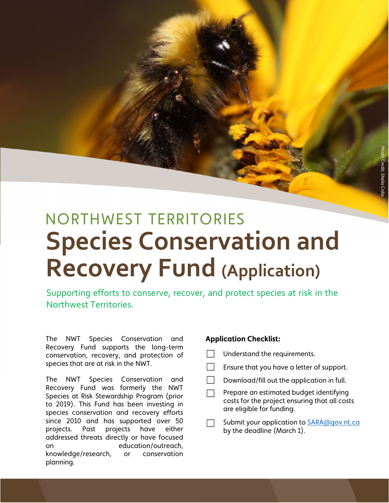Photo Credit: Sheila Colla

redit: Sheila Co.

# NORTHWEST TERRITORIES **Species Conservation and Recovery Fund (Application)**

Supporting efforts to conserve, recover, and protect species at risk in the Northwest Territories.

The NWT Species Conservation and Recovery Fund supports the long-term conservation, recovery, and protection of species that are at risk in the NWT.

The NWT Species Conservation and Recovery Fund was formerly the NWT Species at Risk Stewardship Program (prior to 2019). This Fund has been investing in species conservation and recovery efforts since 2010 and has supported over 50 projects. Past projects have either addressed threats directly or have focused on education/outreach, knowledge/research, or conservation planning.

#### **Application Checklist:**

- Understand the requirements.
- **Ensure that you have a letter of support.**
- Download/fill out the application in full.

Prepare an estimated budget identifying costs for the project ensuring that all costs are eligible for funding.

Submit your application to **SARA@gov.nt.ca** by the deadline (March 1).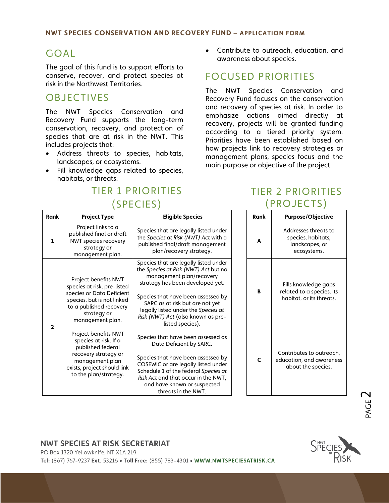# GOAL

The goal of this fund is to support efforts to conserve, recover, and protect species at risk in the Northwest Territories.

# OBJECTIVES

The NWT Species Conservation and Recovery Fund supports the long-term conservation, recovery, and protection of species that are at risk in the NWT. This includes projects that:

- Address threats to species, habitats, landscapes, or ecosystems.
- Fill knowledge gaps related to species, habitats, or threats.

# TIER 1 PRIORITIES (SPECIES)

• Contribute to outreach, education, and awareness about species.

# FOCUSED PRIORITIES

The NWT Species Conservation and Recovery Fund focuses on the conservation and recovery of species at risk. In order to emphasize actions aimed directly at recovery, projects will be granted funding according to a tiered priority system. Priorities have been established based on how projects link to recovery strategies or management plans, species focus and the main purpose or objective of the project.

# TIER 2 PRIORITIES  $(DDOIECTS)$

| <b>Rank</b>    | <b>Project Type</b>                                                                                                                                                          | <b>Eligible Species</b>                                                                                                                                                                                                                                                                                                 | Rank         | <b>Purpose/Objective</b>                                                    |
|----------------|------------------------------------------------------------------------------------------------------------------------------------------------------------------------------|-------------------------------------------------------------------------------------------------------------------------------------------------------------------------------------------------------------------------------------------------------------------------------------------------------------------------|--------------|-----------------------------------------------------------------------------|
| 1              | Project links to a<br>published final or draft<br>NWT species recovery<br>strategy or<br>management plan.                                                                    | Species that are legally listed under<br>the Species at Risk (NWT) Act with a<br>published final/draft management<br>plan/recovery strategy.                                                                                                                                                                            | A            | Addresses threats to<br>species, habitats,<br>landscapes, or<br>ecosystems. |
| $\overline{2}$ | Project benefits NWT<br>species at risk, pre-listed<br>species or Data Deficient<br>species, but is not linked<br>to a published recovery<br>strategy or<br>management plan. | Species that are legally listed under<br>the Species at Risk (NWT) Act but no<br>management plan/recovery<br>strategy has been developed yet.<br>Species that have been assessed by<br>SARC as at risk but are not yet<br>legally listed under the Species at<br>Risk (NWT) Act (also known as pre-<br>listed species). | B            | Fills knowledge gaps<br>related to a species, it<br>habitat, or its threats |
|                | Project benefits NWT<br>species at risk. If a<br>published federal<br>recovery strategy or<br>management plan<br>exists, project should link<br>to the plan/strategy.        | Species that have been assessed as<br>Data Deficient by SARC.<br>Species that have been assessed by<br>COSEWIC or are legally listed under<br>Schedule 1 of the federal Species at<br>Risk Act and that occur in the NWT,<br>and have known or suspected<br>threats in the NWT.                                         | $\mathsf{C}$ | Contributes to outread<br>education, and awaren<br>about the species.       |

| Rank | <b>Purpose/Objective</b>                                                      |  |  |  |
|------|-------------------------------------------------------------------------------|--|--|--|
| A    | Addresses threats to<br>species, habitats,<br>landscapes, or<br>ecosystems.   |  |  |  |
| в    | Fills knowledge gaps<br>related to a species, its<br>habitat, or its threats. |  |  |  |
| r    | Contributes to outreach,<br>education, and awareness<br>about the species.    |  |  |  |

# PAGE  $\sim$

#### **NWT SPECIES AT RISK SECRETARIAT**

PO Box 1320 Yellowknife, NT X1A 2L9



Tel: (867) 767-9237 Ext. 53216 . Toll Free: (855) 783-4301 . WWW.NWTSPECIESATRISK.CA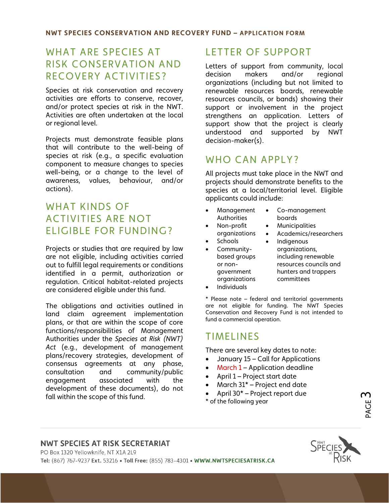## WHAT ARE SPECIES AT RISK CONSERVATION AND RECOVERY ACTIVITIES?

Species at risk conservation and recovery activities are efforts to conserve, recover, and/or protect species at risk in the NWT. Activities are often undertaken at the local or regional level.

Projects must demonstrate feasible plans that will contribute to the well-being of species at risk (e.g., a specific evaluation component to measure changes to species well-being, or a change to the level of awareness, values, behaviour, and/or actions).

### WHAT KINDS OF ACTIVITIES ARE NOT ELIGIBLE FOR FUNDING?

Projects or studies that are required by law are not eligible, including activities carried out to fulfill legal requirements or conditions identified in a permit, authorization or regulation. Critical habitat-related projects are considered eligible under this fund.

The obligations and activities outlined in land claim agreement implementation plans, or that are within the scope of core functions/responsibilities of Management Authorities under the *Species at Risk (NWT) Act* (e.g., development of management plans/recovery strategies, development of consensus agreements at any phase, consultation and community/public engagement associated with the development of these documents), do not fall within the scope of this fund.

# LETTER OF SUPPORT

Letters of support from community, local decision makers and/or regional organizations (including but not limited to renewable resources boards, renewable resources councils, or bands) showing their support or involvement in the project strengthens an application. Letters of support show that the project is clearly understood and supported by NWT decision-maker(s).

# WHO CAN APPLY?

All projects must take place in the NWT and projects should demonstrate benefits to the species at a local/territorial level. Eligible applicants could include:

- Management Authorities Non-profit
	- Co-management boards
	- **Municipalities**
	- organizations • Academics/researchers
- Schools
- Communitybased groups or nongovernment organizations
- **Indigenous** organizations, including renewable resources councils and hunters and trappers committees
- **Individuals**

\* Please note – federal and territorial governments are not eligible for funding. The NWT Species Conservation and Recovery Fund is not intended to fund a commercial operation.

### TIMELINES

There are several key dates to note:

- January 15 Call for Applications
- March 1 Application deadline
- April 1 Project start date
- March 31\* Project end date
- April 30\* Project report due
- \* of the following year

#### **NWT SPECIES AT RISK SECRETARIAT**



PAGE ო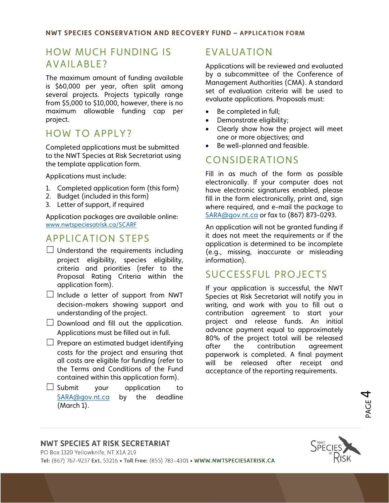## HOW MUCH FUNDING IS AVAILABLE?

The maximum amount of funding available is \$60,000 per year, often split among several projects. Projects typically range from \$5,000 to \$10,000, however, there is no maximum allowable funding cap per project.

### HOW TO APPLY?

Completed applications must be submitted to the NWT Species at Risk Secretariat using the template application form.

Applications must include:

- 1. Completed application form (this form)
- 2. Budget (included in this form)
- 3. Letter of support, if required

Application packages are available online: [www.nwtspeciesatrisk.ca/SCARF](http://www.nwtspeciesatrisk.ca/SCARF)

### APPLICATION STEPS

- $\Box$  Understand the requirements including project eligibility, species eligibility, criteria and priorities (refer to the Proposal Rating Criteria within the application form).
- $\Box$  Include a letter of support from NWT decision-makers showing support and understanding of the project.
- $\Box$  Download and fill out the application. Applications must be filled out in full.
- $\Box$  Prepare an estimated budget identifying costs for the project and ensuring that all costs are eligible for funding (refer to the Terms and Conditions of the Fund contained within this application form).
- $\Box$  Submit vour application to [SARA@gov.nt.ca](mailto:SARA@gov.nt.ca) by the deadline (March 1).

## EVALUATION

Applications will be reviewed and evaluated by a subcommittee of the Conference of Management Authorities (CMA). A standard set of evaluation criteria will be used to evaluate applications. Proposals must:

- Be completed in full;
- Demonstrate eligibility;
- Clearly show how the project will meet one or more objectives; and
- Be well-planned and feasible.

# CONSIDERATIONS

Fill in as much of the form as possible electronically. If your computer does not have electronic signatures enabled, please fill in the form electronically, print and, sign where required, and e-mail the package to [SARA@gov.nt.ca](mailto:SARA@gov.nt.ca) or fax to (867) 873-0293.

An application will not be granted funding if it does not meet the requirements or if the application is determined to be incomplete (e.g., missing, inaccurate or misleading information).

### SUCCESSFUL PROJECTS

If your application is successful, the NWT Species at Risk Secretariat will notify you in writing, and work with you to fill out a contribution agreement to start your project and release funds. An initial advance payment equal to approximately 80% of the project total will be released after the contribution agreement paperwork is completed. A final payment will be released after receipt and acceptance of the reporting requirements.

#### **NWT SPECIES AT RISK SECRETARIAT**

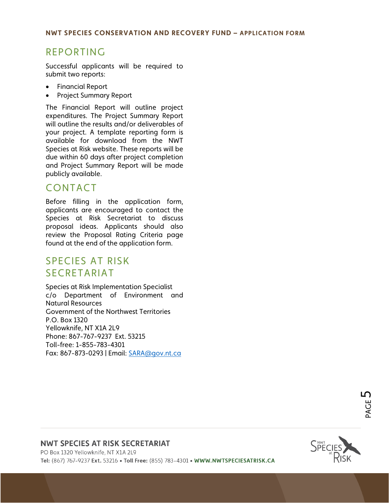### REPORTING

Successful applicants will be required to submit two reports:

- Financial Report
- Project Summary Report

The Financial Report will outline project expenditures. The Project Summary Report will outline the results and/or deliverables of your project. A template reporting form is available for download from the NWT Species at Risk website. These reports will be due within 60 days after project completion and Project Summary Report will be made publicly available.

### CONTACT

Before filling in the application form, applicants are encouraged to contact the Species at Risk Secretariat to discuss proposal ideas. Applicants should also review the Proposal Rating Criteria page found at the end of the application form.

### SPECIES AT RISK SECRETARIAT

Species at Risk Implementation Specialist c/o Department of Environment and Natural Resources Government of the Northwest Territories P.O. Box 1320 Yellowknife, NT X1A 2L9 Phone: 867-767-9237 Ext. 53215 Toll-free: 1-855-783-4301 Fax: 867-873-0293 | Email: [SARA@gov.nt.ca](mailto:SARA@gov.nt.ca)

#### **NWT SPECIES AT RISK SECRETARIAT**

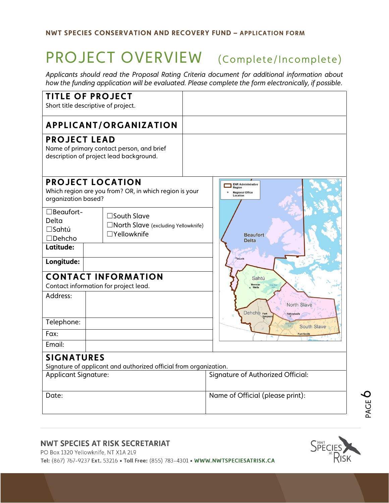# PROJECT OVERVIEW (Complete/Incomplete)

*Applicants should read the Proposal Rating Criteria document for additional information about how the funding application will be evaluated. Please complete the form electronically, if possible.* 

| <b>TITLE OF PROJECT</b><br>Short title descriptive of project.                                                                                     |                                                                           |  |  |  |  |
|----------------------------------------------------------------------------------------------------------------------------------------------------|---------------------------------------------------------------------------|--|--|--|--|
|                                                                                                                                                    |                                                                           |  |  |  |  |
| <b>APPLICANT/ORGANIZATION</b>                                                                                                                      |                                                                           |  |  |  |  |
| <b>PROJECT LEAD</b><br>Name of primary contact person, and brief<br>description of project lead background.                                        |                                                                           |  |  |  |  |
| <b>PROJECT LOCATION</b><br>Which region are you from? OR, in which region is your<br>organization based?                                           | <b>ENR Administrative</b><br>Region<br><b>Regional Office</b><br>Location |  |  |  |  |
| □Beaufort-<br>$\square$ South Slave<br>Delta<br>□ North Slave (excluding Yellowknife)<br>$\square$ Sahtú<br>$\Box$ Yellowknife<br>$\square$ Dehcho | <b>Beaufort</b><br><b>Delta</b>                                           |  |  |  |  |
| Latitude:                                                                                                                                          |                                                                           |  |  |  |  |
| Longitude:                                                                                                                                         | Inuvil                                                                    |  |  |  |  |
| <b>CONTACT INFORMATION</b><br>Contact information for project lead.                                                                                | Sahtú                                                                     |  |  |  |  |
| Address:                                                                                                                                           | North Slave<br>Dehcho Fort<br>Yellowknife                                 |  |  |  |  |
| Telephone:                                                                                                                                         | South Slave                                                               |  |  |  |  |
| Fax:                                                                                                                                               |                                                                           |  |  |  |  |
| Email:                                                                                                                                             |                                                                           |  |  |  |  |
| <b>SIGNATURES</b><br>Signature of applicant and authorized official from organization.                                                             |                                                                           |  |  |  |  |
| <b>Applicant Signature:</b>                                                                                                                        | Signature of Authorized Official:                                         |  |  |  |  |
| Date:                                                                                                                                              | Name of Official (please print):                                          |  |  |  |  |

#### **NWT SPECIES AT RISK SECRETARIAT**

PO Box 1320 Yellowknife, NT X1A 2L9

Tel: (867) 767-9237 Ext. 53216 . Toll Free: (855) 783-4301 . WWW.NWTSPECIESATRISK.CA



PAGE  $\bm{\circ}$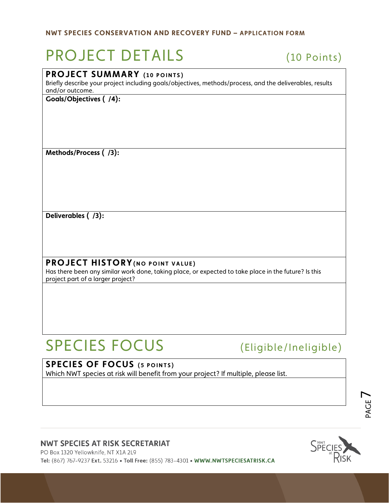# PROJECT DETAILS (10 Points)

### **PROJECT SUMMARY** (10 POINTS)

Briefly describe your project including goals/objectives, methods/process, and the deliverables, results and/or outcome.

**Goals/Objectives ( /4):**

**Methods/Process ( /3):**

**Deliverables ( /3):**

### **PROJECT HISTORY(NO POINT VALUE )**

Has there been any similar work done, taking place, or expected to take place in the future? Is this project part of a larger project?

# SPECIES FOCUS (Eligible/Ineligible)

### **SPECIES OF FOCUS (5 POINTS)**

Which NWT species at risk will benefit from your project? If multiple, please list.

#### **NWT SPECIES AT RISK SECRETARIAT**

PO Box 1320 Yellowknife, NT X1A 2L9 Tel: (867) 767-9237 Ext. 53216 . Toll Free: (855) 783-4301 . WWW.NWTSPECIESATRISK.CA



PAGE  $\overline{\phantom{a}}$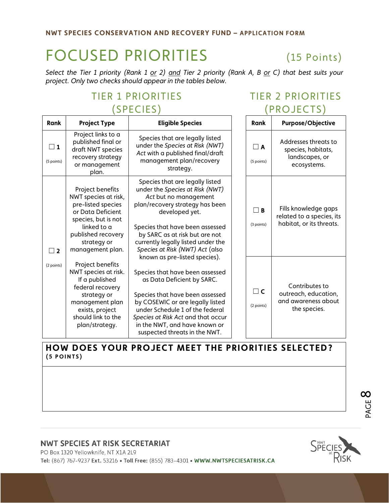# FOCUSED PRIORITIES (15 Points)

*Select the Tier 1 priority (Rank 1 or 2) and Tier 2 priority (Rank A, B or C) that best suits your project. Only two checks should appear in the tables below.*

# TIER 1 PRIORITIES (SPECIES)

# TIER 2 PRIORITIES (PROJECTS)

| Rank                   | <b>Project Type</b>                                                                                                                                                                | <b>Eligible Species</b>                                                                                                                                                                                                                                                                                          | <b>Rank</b>            | <b>Purpose/Objective</b>                                                      |
|------------------------|------------------------------------------------------------------------------------------------------------------------------------------------------------------------------------|------------------------------------------------------------------------------------------------------------------------------------------------------------------------------------------------------------------------------------------------------------------------------------------------------------------|------------------------|-------------------------------------------------------------------------------|
| $\Box$ 1<br>(5 points) | Project links to a<br>published final or<br>draft NWT species<br>recovery strategy<br>or management<br>plan.                                                                       | Species that are legally listed<br>under the Species at Risk (NWT)<br>Act with a published final/draft<br>management plan/recovery<br>strategy.                                                                                                                                                                  | $\Box$ A<br>(5 points) | Addresses threats to<br>species, habitats,<br>landscapes, or<br>ecosystems.   |
| $\sqsupset$ 2          | Project benefits<br>NWT species at risk,<br>pre-listed species<br>or Data Deficient<br>species, but is not<br>linked to a<br>published recovery<br>strategy or<br>management plan. | Species that are legally listed<br>under the Species at Risk (NWT)<br>Act but no management<br>plan/recovery strategy has been<br>developed yet.<br>Species that have been assessed<br>by SARC as at risk but are not<br>currently legally listed under the<br>Species at Risk (NWT) Act (also                   | $\Box$ B<br>(3 points) | Fills knowledge gaps<br>related to a species, its<br>habitat, or its threats. |
| (2 points)             | Project benefits<br>NWT species at risk.<br>If a published<br>federal recovery<br>strategy or<br>management plan<br>exists, project<br>should link to the<br>plan/strategy.        | known as pre-listed species).<br>Species that have been assessed<br>as Data Deficient by SARC.<br>Species that have been assessed<br>by COSEWIC or are legally listed<br>under Schedule 1 of the federal<br>Species at Risk Act and that occur<br>in the NWT, and have known or<br>suspected threats in the NWT. | $\Box$ C<br>(2 points) | Contributes to<br>outreach, education,<br>and awareness about<br>the species. |

### **HOW DOES YOUR PROJECT MEET THE PRIORITIES SELECTED? (5 POINTS)**

#### **NWT SPECIES AT RISK SECRETARIAT**

PO Box 1320 Yellowknife, NT X1A 2L9

Tel: (867) 767-9237 Ext. 53216 . Toll Free: (855) 783-4301 . WWW.NWTSPECIESATRISK.CA



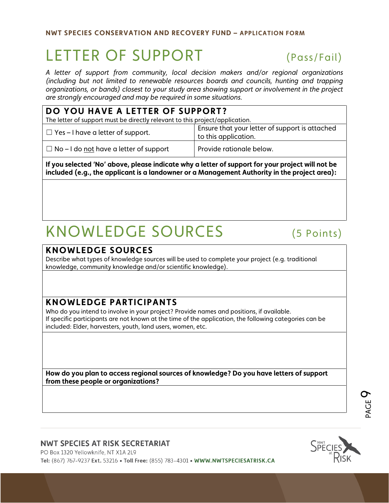# LETTER OF SUPPORT (Pass/Fail)

*A letter of support from community, local decision makers and/or regional organizations (including but not limited to renewable resources boards and councils, hunting and trapping organizations, or bands) closest to your study area showing support or involvement in the project are strongly encouraged and may be required in some situations.*

| DO YOU HAVE A LETTER OF SUPPORT?                                             |                                                                        |  |  |  |
|------------------------------------------------------------------------------|------------------------------------------------------------------------|--|--|--|
| The letter of support must be directly relevant to this project/application. |                                                                        |  |  |  |
| $\Box$ Yes – I have a letter of support.                                     | Ensure that your letter of support is attached<br>to this application. |  |  |  |
| $\Box$ No – I do not have a letter of support                                | Provide rationale below.                                               |  |  |  |

**If you selected 'No' above, please indicate why a letter of support for your project will not be included (e.g., the applicant is a landowner or a Management Authority in the project area):**

# KNOWLEDGE SOURCES (5 Points)

#### **KNOWLEDGE SOURCES**

Describe what types of knowledge sources will be used to complete your project (e.g. traditional knowledge, community knowledge and/or scientific knowledge).

### **KNOWLEDGE PARTICIPANTS**

Who do you intend to involve in your project? Provide names and positions, if available. If specific participants are not known at the time of the application, the following categories can be included: Elder, harvesters, youth, land users, women, etc.

**How do you plan to access regional sources of knowledge? Do you have letters of support from these people or organizations?**

#### **NWT SPECIES AT RISK SECRETARIAT**

PO Box 1320 Yellowknife, NT X1A 2L9 Tel: (867) 767-9237 Ext. 53216 . Toll Free: (855) 783-4301 . WWW.NWTSPECIESATRISK.CA



PAGE  $\boldsymbol{\sigma}$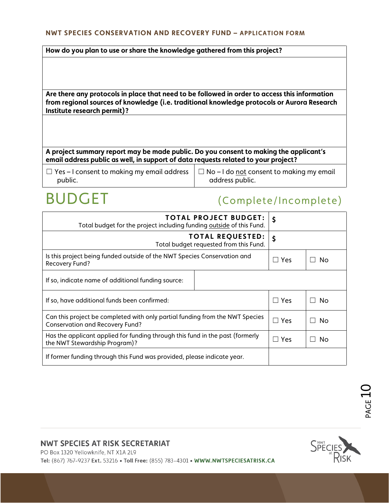#### **How do you plan to use or share the knowledge gathered from this project?**

**Are there any protocols in place that need to be followed in order to access this information from regional sources of knowledge (i.e. traditional knowledge protocols or Aurora Research Institute research permit)?**

**A project summary report may be made public. Do you consent to making the applicant's email address public as well, in support of data requests related to your project?**

| $\Box$ Yes – I consent to making my email address $\Box$ No – I do not consent to making my email |                 |
|---------------------------------------------------------------------------------------------------|-----------------|
| public.                                                                                           | address public. |

# BUDGET (Complete/Incomplete)

| <b>TOTAL PROJECT BUDGET:</b><br>Total budget for the project including funding outside of this Fund.                   | \$ |    |  |
|------------------------------------------------------------------------------------------------------------------------|----|----|--|
| <b>TOTAL REQUESTED:</b><br>Total budget requested from this Fund.                                                      | \$ |    |  |
| Is this project being funded outside of the NWT Species Conservation and<br>Recovery Fund?                             |    | Nο |  |
| If so, indicate name of additional funding source:                                                                     |    |    |  |
| If so, have additional funds been confirmed:                                                                           |    | No |  |
| Can this project be completed with only partial funding from the NWT Species<br><b>Conservation and Recovery Fund?</b> |    | No |  |
| Has the applicant applied for funding through this fund in the past (formerly<br>the NWT Stewardship Program)?         |    | No |  |
| If former funding through this Fund was provided, please indicate year.                                                |    |    |  |

#### **NWT SPECIES AT RISK SECRETARIAT**

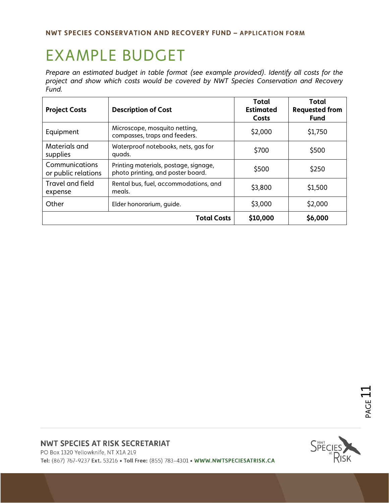# EXAMPLE BUDGET

*Prepare an estimated budget in table format (see example provided). Identify all costs for the project and show which costs would be covered by NWT Species Conservation and Recovery Fund.*

| <b>Project Costs</b>                  | <b>Description of Cost</b>                                                 | Total<br><b>Estimated</b><br>Costs | Total<br><b>Requested from</b><br><b>Fund</b> |
|---------------------------------------|----------------------------------------------------------------------------|------------------------------------|-----------------------------------------------|
| Equipment                             | Microscope, mosquito netting,<br>compasses, traps and feeders.             | \$2,000                            | \$1,750                                       |
| Materials and<br>supplies             | Waterproof notebooks, nets, gas for<br>quads.                              | \$700                              | \$500                                         |
| Communications<br>or public relations | Printing materials, postage, signage,<br>photo printing, and poster board. | \$500                              | \$250                                         |
| Travel and field<br>expense           | Rental bus, fuel, accommodations, and<br>meals.                            | \$3,800                            | \$1,500                                       |
| Other                                 | Elder honorarium, quide.                                                   | \$3,000                            | \$2,000                                       |
|                                       | <b>Total Costs</b>                                                         | \$10,000                           | \$6,000                                       |

#### **NWT SPECIES AT RISK SECRETARIAT**

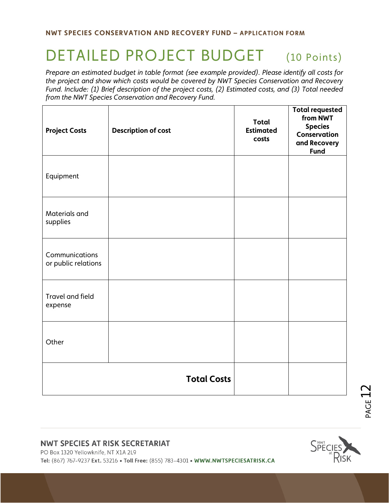# DETAILED PROJECT BUDGET (10 Points)

*Prepare an estimated budget in table format (see example provided). Please identify all costs for the project and show which costs would be covered by NWT Species Conservation and Recovery Fund. Include: (1) Brief description of the project costs, (2) Estimated costs, and (3) Total needed from the NWT Species Conservation and Recovery Fund.*

| <b>Project Costs</b>                  | <b>Description of cost</b> | <b>Total</b><br><b>Estimated</b><br>costs | <b>Total requested</b><br>from NWT<br><b>Species</b><br>Conservation<br>and Recovery<br><b>Fund</b> |
|---------------------------------------|----------------------------|-------------------------------------------|-----------------------------------------------------------------------------------------------------|
| Equipment                             |                            |                                           |                                                                                                     |
| Materials and<br>supplies             |                            |                                           |                                                                                                     |
| Communications<br>or public relations |                            |                                           |                                                                                                     |
| Travel and field<br>expense           |                            |                                           |                                                                                                     |
| Other                                 |                            |                                           |                                                                                                     |
|                                       | <b>Total Costs</b>         |                                           |                                                                                                     |

#### **NWT SPECIES AT RISK SECRETARIAT**

PO Box 1320 Yellowknife, NT X1A 2L9

Tel: (867) 767-9237 Ext. 53216 . Toll Free: (855) 783-4301 . WWW.NWTSPECIESATRISK.CA



**PAGE**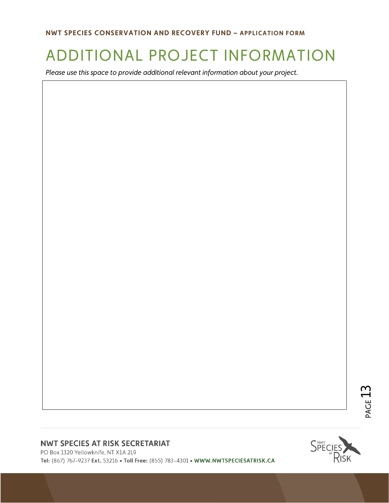# ADDITIONAL PROJECT INFORMATION

*Please use this space to provide additional relevant information about your project.*

# PAGE  $13$

#### **NWT SPECIES AT RISK SECRETARIAT**

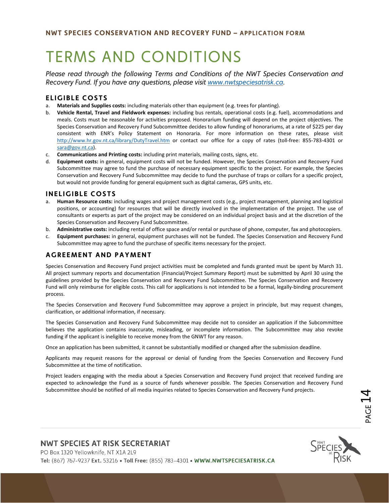# TERMS AND CONDITIONS

*Please read through the following Terms and Conditions of the NWT Species Conservation and Recovery Fund. If you have any questions, please visit [www.nwtspeciesatrisk.ca.](http://www.nwtspeciesatrisk.ca/)* 

#### **ELIGIBLE COSTS**

- a. **Materials and Supplies costs:** including materials other than equipment (e.g. trees for planting).
- b. **Vehicle Rental, Travel and Fieldwork expenses:** including bus rentals, operational costs (e.g. fuel), accommodations and meals. Costs must be reasonable for activities proposed. Honorarium funding will depend on the project objectives. The Species Conservation and Recovery Fund Subcommittee decides to allow funding of honorariums, at a rate of \$225 per day consistent with ENR's Policy Statement on Honoraria. For more information on these rates, please visit <http://www.hr.gov.nt.ca/library/DutyTravel.htm> or contact our office for a copy of rates (toll-free: 855-783-4301 or [sara@gov.nt.ca\)](mailto:sara@gov.nt.ca).
- c. **Communications and Printing costs:** including print materials, mailing costs, signs, etc.
- d. **Equipment costs:** in general, equipment costs will not be funded. However, the Species Conservation and Recovery Fund Subcommittee may agree to fund the purchase of necessary equipment specific to the project. For example, the Species Conservation and Recovery Fund Subcommittee may decide to fund the purchase of traps or collars for a specific project, but would not provide funding for general equipment such as digital cameras, GPS units, etc.

#### **INELIGIBLE COSTS**

- a. **Human Resource costs:** including wages and project management costs (e.g., project management, planning and logistical positions, or accounting) for resources that will be directly involved in the implementation of the project. The use of consultants or experts as part of the project may be considered on an individual project basis and at the discretion of the Species Conservation and Recovery Fund Subcommittee.
- b. **Administrative costs:** including rental of office space and/or rental or purchase of phone, computer, fax and photocopiers.
- c. **Equipment purchases:** in general, equipment purchases will not be funded. The Species Conservation and Recovery Fund Subcommittee may agree to fund the purchase of specific items necessary for the project.

#### **AGREEMENT AND PAYMENT**

Species Conservation and Recovery Fund project activities must be completed and funds granted must be spent by March 31. All project summary reports and documentation (Financial/Project Summary Report) must be submitted by April 30 using the guidelines provided by the Species Conservation and Recovery Fund Subcommittee. The Species Conservation and Recovery Fund will only reimburse for eligible costs. This call for applications is not intended to be a formal, legally-binding procurement process.

The Species Conservation and Recovery Fund Subcommittee may approve a project in principle, but may request changes, clarification, or additional information, if necessary.

The Species Conservation and Recovery Fund Subcommittee may decide not to consider an application if the Subcommittee believes the application contains inaccurate, misleading, or incomplete information. The Subcommittee may also revoke funding if the applicant is ineligible to receive money from the GNWT for any reason.

Once an application has been submitted, it cannot be substantially modified or changed after the submission deadline.

Applicants may request reasons for the approval or denial of funding from the Species Conservation and Recovery Fund Subcommittee at the time of notification.

Project leaders engaging with the media about a Species Conservation and Recovery Fund project that received funding are expected to acknowledge the Fund as a source of funds whenever possible. The Species Conservation and Recovery Fund Subcommittee should be notified of all media inquiries related to Species Conservation and Recovery Fund projects.

#### **NWT SPECIES AT RISK SECRETARIAT**